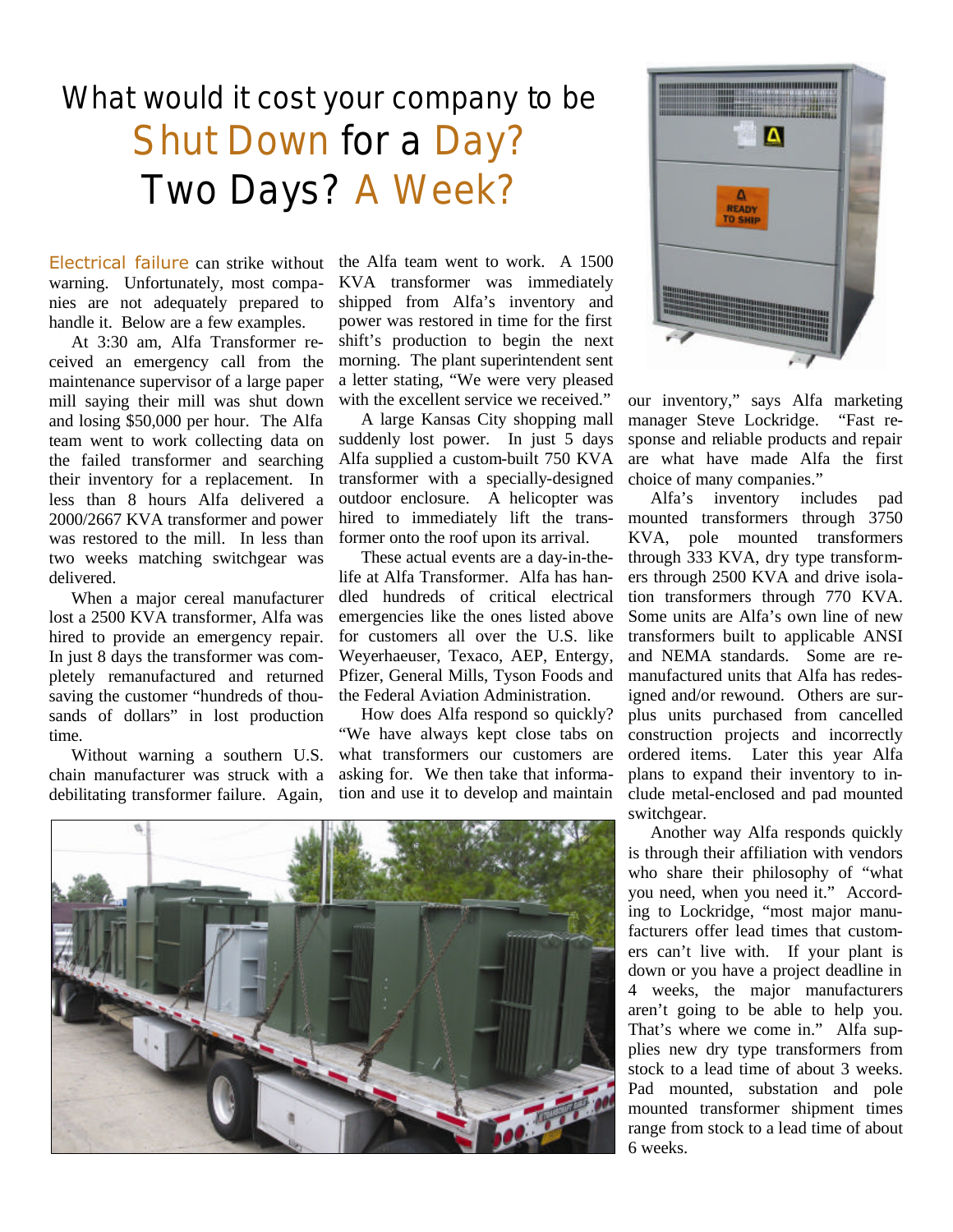## *What would it cost your company to be Shut Down* for a Day? *Two Days?* A Week?

Electrical failure can strike without warning. Unfortunately, most companies are not adequately prepared to handle it. Below are a few examples.

At 3:30 am, Alfa Transformer received an emergency call from the maintenance supervisor of a large paper mill saying their mill was shut down and losing \$50,000 per hour. The Alfa team went to work collecting data on the failed transformer and searching their inventory for a replacement. In less than 8 hours Alfa delivered a 2000/2667 KVA transformer and power was restored to the mill. In less than two weeks matching switchgear was delivered.

When a major cereal manufacturer lost a 2500 KVA transformer, Alfa was hired to provide an emergency repair. In just 8 days the transformer was completely remanufactured and returned saving the customer "hundreds of thousands of dollars" in lost production time.

Without warning a southern U.S. chain manufacturer was struck with a debilitating transformer failure. Again,

the Alfa team went to work. A 1500 KVA transformer was immediately shipped from Alfa's inventory and power was restored in time for the first shift's production to begin the next morning. The plant superintendent sent a letter stating, "We were very pleased with the excellent service we received."

A large Kansas City shopping mall suddenly lost power. In just 5 days Alfa supplied a custom-built 750 KVA transformer with a specially-designed outdoor enclosure. A helicopter was hired to immediately lift the transformer onto the roof upon its arrival.

These actual events are a day-in-thelife at Alfa Transformer. Alfa has handled hundreds of critical electrical emergencies like the ones listed above for customers all over the U.S. like Weyerhaeuser, Texaco, AEP, Entergy, Pfizer, General Mills, Tyson Foods and the Federal Aviation Administration.

How does Alfa respond so quickly? "We have always kept close tabs on what transformers our customers are asking for. We then take that information and use it to develop and maintain





our inventory," says Alfa marketing manager Steve Lockridge. "Fast response and reliable products and repair are what have made Alfa the first choice of many companies."

Alfa's inventory includes pad mounted transformers through 3750 KVA, pole mounted transformers through 333 KVA, dry type transformers through 2500 KVA and drive isolation transformers through 770 KVA. Some units are Alfa's own line of new transformers built to applicable ANSI and NEMA standards. Some are remanufactured units that Alfa has redesigned and/or rewound. Others are surplus units purchased from cancelled construction projects and incorrectly ordered items. Later this year Alfa plans to expand their inventory to include metal-enclosed and pad mounted switchgear.

Another way Alfa responds quickly is through their affiliation with vendors who share their philosophy of "what you need, when you need it." According to Lockridge, "most major manufacturers offer lead times that customers can't live with. If your plant is down or you have a project deadline in 4 weeks, the major manufacturers aren't going to be able to help you. That's where we come in." Alfa supplies new dry type transformers from stock to a lead time of about 3 weeks. Pad mounted, substation and pole mounted transformer shipment times range from stock to a lead time of about 6 weeks.